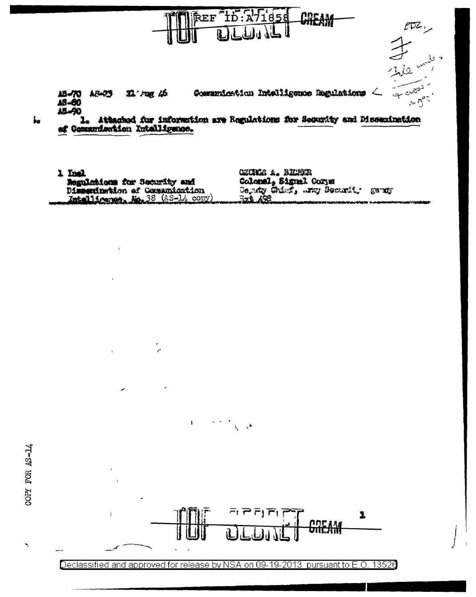

1 Inel Regulations for Security and Dissemination of Communication Intelligence, Mr. 38 (AS-14 copy

ý,

 $\mathbf{I}$ 

 $\mathbf{I}$ 

CECRLE A. BIDER Colomal, Signal Corps Serviy Chief, any Bearti, gangy **Szá 452** 

Declassified and approved for release by NSA on 09-19-2013 pursuant to E.O. 13526

 $\omega_{\rm{eff}}=0$ 

 $\lambda_{\rm c} = \lambda^{\rm h}$ 

 $P\overline{P}|\overline{P}|$ 

1

<u>ODE AM</u><br>UNLAM

 $\pmb{\Sigma}$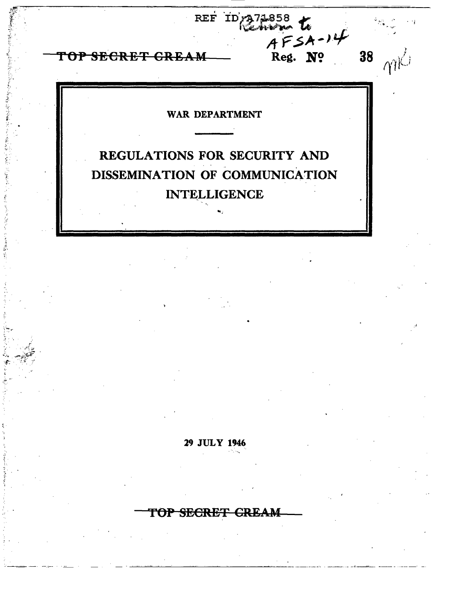REF ID<sub>(2</sub>71858)<br>AFSA-14<br>M Reg. No. 38 TOP SECRET GREAM  $\gamma\gamma$ K $^{-j}$ WAR DEPARTMENT REGULATIONS FOR SECURITY AND DISSEMINATION OF COMMUNICATION **INTELLIGENCE** 29 JULY 1946 TOP SECRET GREAM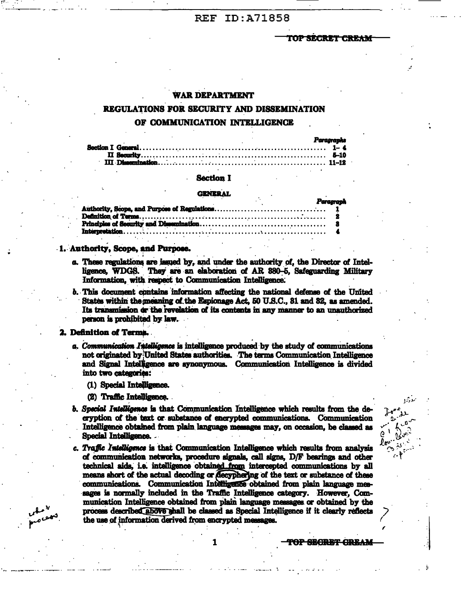# **REF ID:A71858**

TOP SECRET CREAM

## WAR DEPARTMENT

# REGULATIONS FOR SECURITY AND DISSEMINATION OF COMMUNICATION INTELLIGENCE

|  | Paragraphs |
|--|------------|
|  |            |
|  |            |
|  |            |

#### **Section I**

#### **GENERAL**

|  |  | r ur ugrupn |  |
|--|--|-------------|--|
|  |  |             |  |
|  |  |             |  |
|  |  |             |  |
|  |  |             |  |
|  |  |             |  |

#### 1. Authority, Scope, and Purpose.

- a. These regulations are issued by, and under the authority of, the Director of Intelligence, WDGS. They are an elaboration of AR 380-5, Safeguarding Military Information, with respect to Communication Intelligence.
- b. This document contains information affecting the national defense of the United States within the meaning of the Espionage Act, 50 U.S.C., 31 and 32, as amended. Its transmission or the revelation of its contents in any manner to an unauthorized person is prohibited by law.

#### 2. Definition of Terms.

- a. Communication Intelligence is intelligence produced by the study of communications not originated by United States authorities. The terms Communication Intelligence and Signal Intelligence are synonymous. Communication Intelligence is divided into two categories:
	- (1) Special Intelligence.

(2) Traffic Intelligence.

- b. Special Intelligence is that Communication Intelligence which results from the decryption of the text or substance of encrypted communications. Communication Intelligence obtained from plain language messages may, on occasion, be classed as Special Intelligence.
- c. Traffic Intelligence is that Communication Intelligence which results from analysis of communication networks, procedure signals, call signs, D/F bearings and other technical aids, i.e. intelligence obtained from intercepted communications by all means short of the actual decoding or decyphering of the text or substance of these communications. Communication Intelligence obtained from plain language messages is normally included in the Traffic Intelligence category. However, Communication Intelligence obtained from plain language messages or obtained by the process described above shall be classed as Special Intelligence if it clearly reflects the use of information derived from encrypted messages.

1

<del>OP SECRRT GRRAM</del>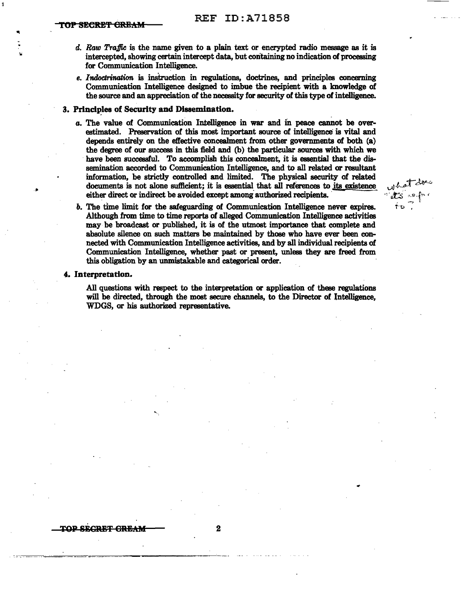"'

- d. Raw Traffic is the name given to a plain text or encrypted radio message as it is intercepted, showing certain intercept data, but containing no indication of processing for Communication Intelligence.
- *e. Indoctrination* is instruction in regulations, doctrines, and principles concerning Communication Intelligence designed to imbue the recipient with a knowledge of the source and an appreciation of the necessity for security of this type of intelligence.

## 3. Principles of Security and Dissemination.

*a.* The value of Communication Intelligence in war and m peace cannot be overestimated. Preservation of this most important source of intelligence is vital and depends entirely on the effective concealment from other governments of both {a) the degree of our success in this field and {b} the particular sources with which we have been successful. To accomplish this concealment, it is essential that the dissemination accorded to Communication Intelligence, and to all related or resultant information, be strictly controlled and limited. The physical security of related documents is not alone sufficient; it is essential that all references to its existence either direct or indirect be avoided except among authorized recipients.

what doe

∱ນີ

*b.* The time limit for the safeguarding of Communication Intelligence never expires. Although from time to time reports of alleged Communication Intelligence activities may· be broadcast or published, it is of the utmost importance that complete and absolute silence on such matters be maintained by those who have ever been connected with Communication Intelligence activities, and by all individual recipients of Communication Intelligence, whether past or present, unless they are freed from this obligation by an unmistakable and categorical order.

#### *4.* Interpretation.

All questions with respect to the interpretation or application of these regulations will be directed, through the most secure channels, to the Director of Intelligence, WDGS, or his authorized representative.

 $\frac{1}{2}$  TOP SECRET GREAM  $\frac{1}{2}$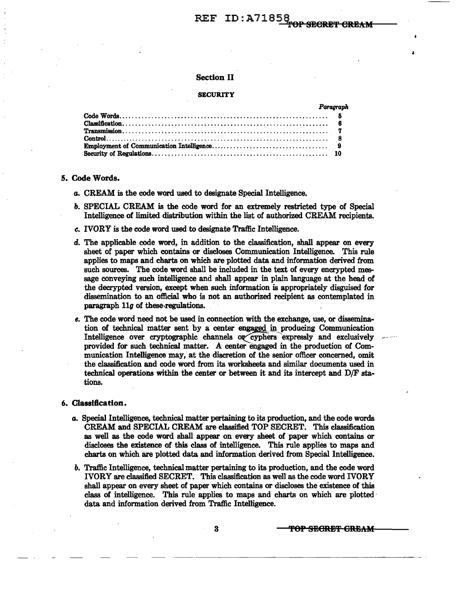# REF ID:A71858

## Section II

# **SECURITY**

| Paragranh |
|-----------|
|           |
|           |
|           |
|           |
|           |
|           |

### 5. Code Words.

- *a.* CREAM is the code word used to designate Special Intelligence.
- *b.* SPECIAL CREAM is the code word for an extremely restricted type of Special Intelligence of limited distribution within the list of authorized CREAM recipients.
- *c.* IVORY is the code word used to designate Traffic Intelligence.
- d. The applicable code word, in addition to the classification, shall appear on every sheet of paper which contains or discloses Communication Intelligence. This rule applies to maps and charts on which are plotted data and information derived from such sources. The code word shall be included in the text of every encrypted message conveying such intelligence and shall appear in plain language at the head of the decrypted version, except when such information is appropriately disguised for dissemination to an official who is not an authorized recipient as contemplated in paragraph llg of these.regulations. .
- *e.* The code word need not be used in connection with the exchange, use, or dissemination of technical matter sent by a center engaged in producing Communication Intelligence over cryptographic channels or cyphers expressly and exclusively provided for such technical matter. A center engaged in the production of Communication Intelligence may, at the discretion of the senior officer concerned, omit the classification and code word from its worksheets and similar documents used in technical operations within the center or between it and its intercept and D/F stations.

#### 6. Classification.

- *a.* Special Intelligence, technical matter pertaining to its production, and the code words CREAM and SPECIAL CREAM are classified TOP SECRET. This classification as well as the code word shall appear on every sheet of paper which contains or discloses the existence of this class of intelligence. This rule applies to maps and charts on which are plotted data and information derived from Special Intelligence.
- *b.* Traffic Intelligence, technical matter pertaining to its production, and the code word IVORY are classified SECRET. This classification as well as the code word IVORY shall appear on every sheet of paper which contains or discloses the existence of this class of intelligence. This rule applies to maps and charts on which are plotted · data and information derived from Traffic Intelligence.

3 **- TOP SEGRET GREAM**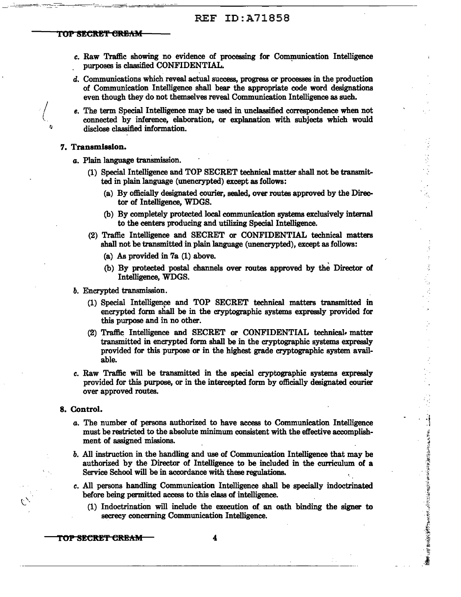# REF ID:A71858

#### TOP SECRET <del>CREAM</del>

c. Raw Traffic showing no evidence of processing for Communication Intelligence . purposes is classified CONFIDENTIAL. .

.. ----=....::···-:\_ -· .. :.·\_·,::-:-~::-·-::.:·-----:----=---==:-:--·-;.:::.,..: \_\_\_\_ ··:--.--~~,,...,.,;,,· """-,;;,,··-;;,.-'···-·""""·'--------------------------

- d. Communications which reveal actual success, progress or processes in the production of Communication Intelligence shall bear the appropriate code word designations even though they do not themselves reveal Communication Intelligence as such.
- e. The term Special Intelligence may be used in unclassified correspondence when not connected by inference, elaboration, or explanation with subjects which would disclose classified information.

#### 7. Transmission.

- *a*. Plain language transmission.
	- (1) Special Intelligence and TOP SECRET technical matter shall not be transmitted in plain language (unencrypted) except as follows:
		- (a) By officially designated courier, sealed, over routes approved by the Director of Intelligence, WDGS.
		- (b) By completely protected local communication systems exclusively internal to the centers producing and utilizing Special Intelligence.
	- (2) Traffic Intelligence and SECRET or CONFIDENTIAL technical matters shall not be transmitted in plain language (unencrypted), except as follows:
		- (a) As provided in 7a (1) above.
		- (b) By protected postal channels over routes approved by the Director of Intelligence, WDGS.
- *b.* Encrypted transmission.
	- (1) Special Intelligence and TOP SECRET technical matters transmitted in encrypted form shall be in the cryptographic systems expressly provided for this purpose and in no other.
	- (2) Traffic Intelligence and SECRET or CONFIDENTIAL technical• matter transmitted in encrypted form shall be in the cryptographic systems expressly provided for this purpose or in the highest grade cryptographic system available.
- c. Raw Traffic will be transmitted in the special cryptographic systems expressly provided for this· purpose, or in the intercepted form by officially designated courier over approved routes.

#### 8. Control.

*a.* The number of persons authorized to have access to Communication Intelligence must be restricted to the absolute minimum consistent with the effective accomplishment of assigned missions.

···i *r* ~

- *b.* All instruction in the handling and use of Communication Intelligence that may be authorized by the Director of Intelligence to be included in the curriculum of a Service School will be in accordance with these regulations.
- c. All persons handling Communication Intelligence shall be specially indoctrinated before being permitted access to this class of intelligence.
	- (1) Indoctrination will include the execution of an oath binding the signer to secrecy concerning Communication Intelligence.

TOP SECRET CREAM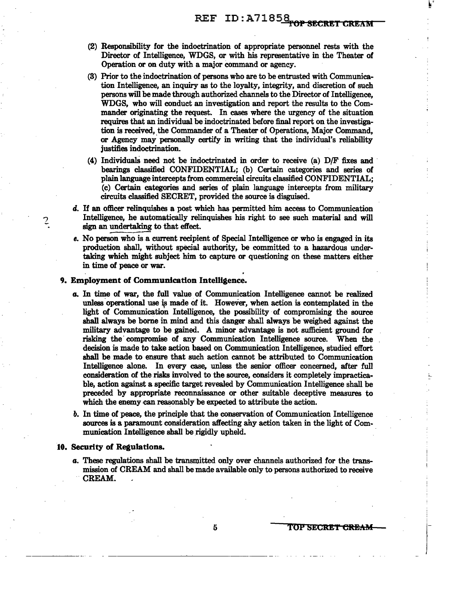- (2) Responsibility for the indoctrination of appropriate personnel rests with the Director of Intelligence, WDGS, or with his representative in the Theater of Operation or on duty with a major command or agency.
- (3) Prior to the indoctrination of persons who are to be entrusted with Communication Intelligence, an inquiry as to the loyalty, integrity, and discretion of such persons will be made through authorized channels to the Director of Intelligence, WDGS, who will conduct an investigation and report the results to the Commander originating the request. In cases where the urgency of the situation requires that an individual be indoctrinated before final report on the investigation is received, the Commander of a Theater of Operations, Major Command, or Agency may personally certify in writing that the individual's reliability justifies indoctrination.
- $(4)$  Individuals need not be indoctrinated in order to receive  $(a)$  D/F fixes and bearings classified CONFIDENTIAL; (b) Certain categories and series of plain language intercepts from commercial circuits classified CONFIDENTIAL; (c) Certain categories and series of plain language intercepts from military circuits classified SECRET, provided the source is disguised.
- d. If an officer relinquishes a post which has permitted him access to Communication Intelligence, he automatically relinquishes his right to see such material and will sign an undertaking to that effect.
- *e.* No person who is a current recipient of Special Intelligence or who is engaged in its production shall, without special authority, be committed to a hazardous undertaking which might subject him to capture or questioning on these matters either in time of peace or war.

### 9. Employment of Communication Intelligence.

- *a.* In time of war, the full value of Communication Intelligence cannot be realized unless operational use is made of it. However, when action is contemplated in the light of Communication Intelligence, the possibility of compromising the source shall always be borne in mind and this danger shall always be weighed against the military advantage to be gained. A minor advantage is not sufficient ground for risking the· compromise of any Communication Intelligence source. When the decision is made to take action based on Communication Intelligence, studied effort shall be made to ensure that such action cannot be attributed to Communication Intelligence alone. In every case, unless the senior officer concerned, after full consideration of the risks involved to the source, considers it completely impracticable, action against a specific target revealed by Communication Intelligence shall be preceded by appropriate reconnaissance or other suitable deceptive measures to which the enemy can reasonably be expected to attribute the action.
- *b.* In time of peace, the principle that the conservation of Communication Intelligence sources is a paramount consideration affecting any action taken in the light of Communication Intelligence shall be rigidly upheld.

#### 10. Security of Regulations.

7

*a.* These regulations shall be transmitted only over channels authorized for the transmission of CREAM and shall be made available only to persons authorized to receive CREAM.

------~~------------ ...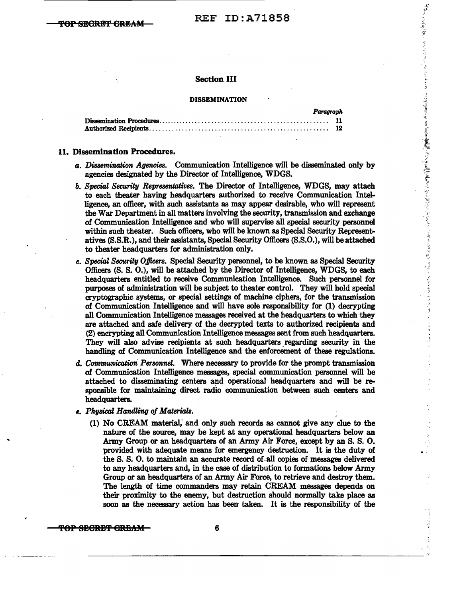·-~~ ·~ *:·;.-*

人名英格兰人姓氏麦克

<·. '

医细胞

.": .,

## Section III

#### DISSEMINATION

| Paragraph |  |
|-----------|--|
|           |  |
|           |  |

#### 11. Dissemination Procedures.

- *a. Dissemination Agencies.* Communication Intelligence will be disseminated only by agencies designated by the Director of Intelligence, WDGS.
- **b.** Special Security Representatives. The Director of Intelligence, WDGS, may attach to each theater having headquarters authorized to receive Communication Intelligence, an officer, with such assistants as may appear desirable, who will represent the War Department in all matters involving the security, transmission and exchange of Communication Intelligence and who will supervise all special security personnel within such theater. Such officers, who will be known as Special Security Representatives (S.S.R.), and their assistants, Special Security Officers (S.S.0.), will be attached to theater headquarters for administration only.
- *c. Special Security Officers.* Special Security personnel, to be known as Special Security Officers (S.S. 0.), will be attached by the Director of Intelligence, WDGS, to each headquarters entitled to receive Communication Intelligence. Such personnel for purposes of administration will be subject to theater control. They will hold special cryptographic systems, or special settings of machine ciphers, for the transmission of Communication Intelligence and will have sole responsibility for (1) decrypting all Communication Intelligence messages received at the headquarters to which they are attached and safe delivery of the decrypted texts to authorized recipients and (2) encrypting all Communication Intelligence messages sent from such headquarters. They will also advise recipients at such headquarters regarding security in the handling of Communication Intelligence and the enforcement of these regulations.
- d. Communication Personnel. Where necessary to provide for the prompt transmission of Communication Intelligence messages, special communication personnel will be attached to disseminating centers and operational headquarters and will be responsible for maintaining direct radio communication between such centers and headquarters.
- *e. Physical Handli11.g of Materials.* 
	- (1) No CREAM material; and only such records as cannot give any clue to the nature of the source, may be kept at any operational headquarters below an Army Group or an headquarters of an Army Air Force, except by an S. S. 0. provided with adequate means for emergency destruction. It is the duty of the S.S. 0. to maintain an accurate record of.all copies of messages delivered to any headquarters and, in the case of distribution to formations below Army Group or an headquarters of an Army Air Force, to retrieve and destroy them. The length of time commanders may retain CREAM messages depends on their proximity to the enemy, but destruction should normally take place as soon as the necessary action has been taken. It is the responsibility of the

 $\frac{3}{2}$ 

TOP SECRET GREAM  $-$  6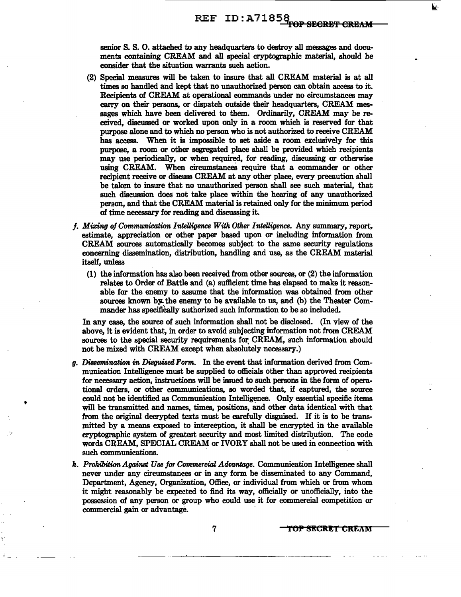senior S. S. 0. attached to any headquarters to destroy all messages and documents containing CREAM and all special cryptographic material, should he consider that the situation warrants such action.

- (2) Special measures will be taken to insure that all CREAM material is at all times so handled and kept that no unauthorized person can obtain access to it. Recipients of CREAM at operational commands under no circumstances may carry on their persons, or dispatch outside their headquarters, CREAM messages which have been delivered to them. Ordinarily, CREAM may be received, discussed or worked upon only in a room which is reserved for that purpose alone and to which no person who is not authorized to receive CREAM has access. When it is impossible to set aside a room exclusively for this purpose, a room or other segregated place shall be provided which recipients may use periodically, or when required, for reading, discussing or otherwise using CREAM. When eircumstance8 require that a commander or other recipient receive or discuss CREAM at any other place, every precaution shall be taken to insure that no unauthorized person shall see such material, that such discussion does not take place within the hearing of any unauthorized person, and that the CREAM material is retained only for the minimum period of time necessary for reading and discussing it.
- *f. Mixing of Communication Intelligence With Other Intelligence.* Any summary, report, estimate, appreciation or other paper based upon or including information from CREAM sources automatically becomes subject to the same security regulations concerning dissemination, distribution, handling and use, as the CREAM material itself, unless
	- (1) the information has also been received from other sources, or (2) the information relates to Order of Battle and (a) sufficient time has elapsed to make it reasonable for the enemy to assume that the information was obtained from other sources known by the enemy to be available to us, and (b) the Theater Commander has specifically authorized such information to be so included.

In any case, the source of such information shall not be disclosed. (In view of the above, it is evident that, in order to avoid subjecting information not from CREAM sources to the special security requirements for CREAM, such information should not be mixed with CREAM except when absolutely necessary.)

*g. Dissemination in Disguised Form.* In the event that information derived from Communication Intelligence must be supplied to officials other than approved recipients for necessary action, instructions will be issued to such persons in the form of operational orders, or other communications, so worded that, if captured, the source could not be identified as Communication Intelligence. Only essential specific items will be transmitted and names, times, positions, and other data identical with that from the original decrypted *texts* must be carefully disguised. If it is to be transmitted by a means exposed to interception, it shall be encrypted in the available cryptographic system of greatest security and most limited distribution. The code words CREAM, SPECIAL CREAM or IVORY shall not be used in connection with such communications.

•

*h. Prohibition Against Use for Commercial Advantage.* Communication Intelligence shall never under any circumstances or in any form be disseminated to any Command, Department, Agency, Organization, Office, or individual from which or from whom it might reasonably be expected to find its way, officially or unofficially, into the possession of any person or group who could use it for commercial competition or commercial gain or advantage.

7 **TOP SECRET CREAM**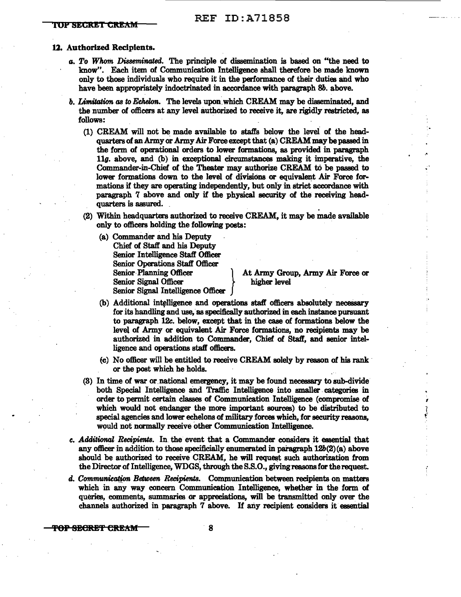#### 12. Authorized Recipients.

- *a. To Whom Disseminated.* The principle of dissemination is based on "the need to know". Each item of Communication Intelligence shall therefore be made known only to those individuals who require it in the performance of their duties and who have been appropriately indoctrinated in accordance with paragraph Sb. above.
- *b. Limitation as* to *Echelon.* The levels upon. which CREAM may be disseminated, and the number of officers at any level authorized to receive it, are rigidly restricted, as follows:
	- (1) CREAM will not be made available to staffs below the level of the headquarters of an Army or Army Air Force except that (a) CREAM may be passed in the form of operational orders to lower formations, as provided in paragraph  $11g$ . above, and (b) in exceptional circumstances making it imperative, the Commander-in-Chief of the Theater may authorize CREAM to be passed to lower fonnations down to the level of divisions or equivalent Air Force formations if they are operating independently, but only in strict accordance with paragraph 7 above and only if the physical security of the receiving head. quarters is assured. .
	- (2) Within headquarters authorized to receive CREAM, it may be made available only to officers holding the following posts:
		- (a) Commander and his Deputy Chief of Staff and his Deputy Senior Intelligence Staff Officer Senior Operations Staff Officer Senior Planning Officer 1 At Army Group, Army Air Force or Senior Signal Officer higher level Senior Signal Intelligence Officer

·,

.•.

f

- (b) Additional intelligence and operations staff officers absolutely necessary for its handling and use, as specifically authorized in each instance pursuant to paragraph 12c. below, except that in the case of formations below the level of Army or equivalent Air Force formations, no recipients may be authorized in addition to Commander, Chief of Staff, and senior intelligence and operations staff officers.
- (c) No officer will be entitled to receive CREAM solely by reason of his rank· or the post which he holds.
- (3) In time of war or.national emergency, it may be found necessary to sub-divide both Special Intelligence and Traffic Intelligence into smaller . categories in order to permit certain. classes of Communication Intelligence (compromise of which would not endanger the more important sources) to be distributed to special agencies and lower echelons of military forces which, for security reasons, would not normally receive other Communication Intelligence.
- *c. Additional Recipients.* In the event that a Commander considers it essential that any officer in addition to those specificially enumerated in paragraph  $12b(2)(a)$  above should be authorized to receive CREAM, he will request such authorization from the Director of Intelligence, WDGS, through the S.S.O., giving reasons for the request.
- d. Communication Between Recipients. Communication between recipients on matters which in any way concern Communication Intelligence, whether in the form of queries, comments, summaries or appreciations, will be transmitted only over the channels authorized in paragraph 7 above. If any recipient considers it essential

 $\overline{TOP}$  SECRET CREAM  $\overline{O}$  8